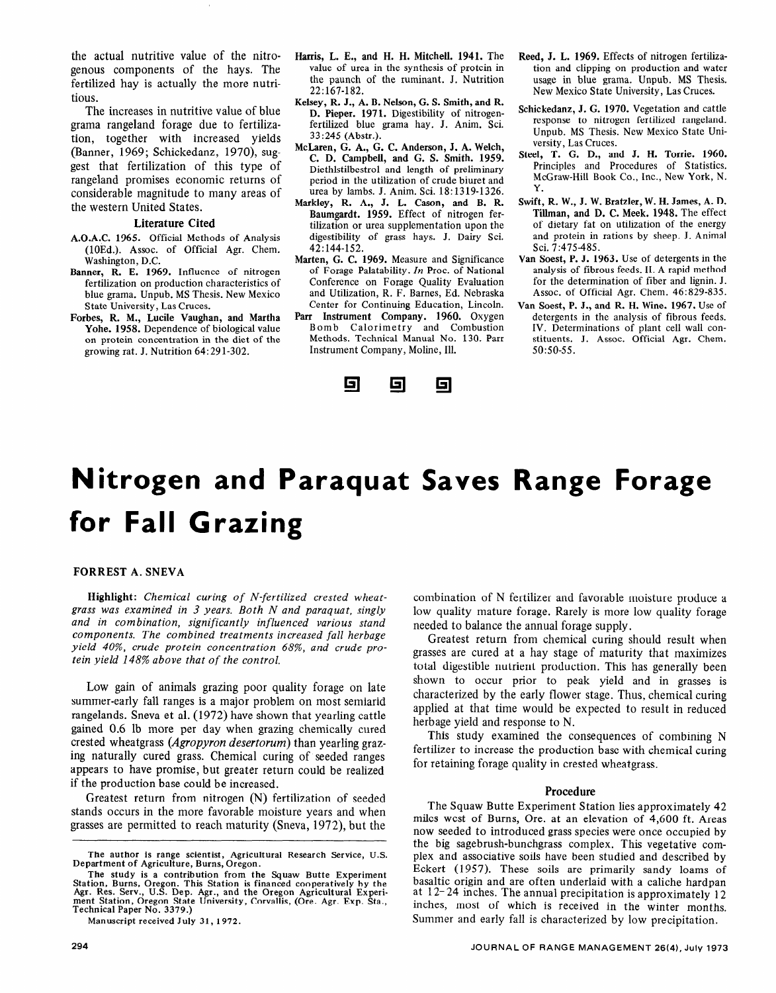# **Nitrogen and Paraquat Saves Range Forage for Fall Grazing**

## FORREST A. SNEVA

Highlight: *Chemical curing of N-fertilized crested wheat***grass was examined in 3 years. Both N and parameters** was examined to the *and parameters was and parameters was* grass was examined in 3 years. Both N and paraquat singly and in combination, significantly influenced various stand components. The combined treatments increased fall herbage *tein yield 148% above that of the control.* 

Low gain of animals grazing poor quality forage on late Low gain of animals grazing poor quality forage on fate summer-early fall ranges is a major problem on most semiarid rangelands. Sneva et al. (1972) have shown that yearling cattle gained 0.6 lb more per day when grazing chemically cured crested wheatgrass (Agropyron desertorum) than yearling grazing naturally cured grass. Chemical curing of seeded ranges appears to have promise, but greater return could be realized. if the production base could be increased.

Greatest return from nitrogen (N) fertilization of seeded stands occurs in the more favorable moisture years and when<br>grasses are permitted to reach maturity (Sneva, 1972), but the

Manuscript received July 31, 1972.

combination of N fertilizer and favorable moisture produce a comomation of ividential and favorable inoisture produce a now quality mature forage. Karely is more Greate condition in the annual relation supply.

greatest return from chemical curing should result when grasses are cured at a hay stage of maturity that maximizes total digestible nutrient production. This has generally been shown to occur prior to peak yield and in grasses is characterized by the early flower stage. Thus, chemical curing applied at that time would be expected to result in reduced herbage yield and response to N.  $\sigma$  oage yield and response to  $N$ .

 $f(x)$  fins study examined the consequences of combining  $x$ fertilizer to increase the production base with chemical curing<br>for retaining forage quality in crested wheatgrass.

#### Procedure  $T_{\text{r}}$  and  $T_{\text{r}}$  are  $T_{\text{r}}$  and  $T_{\text{r}}$  and  $T_{\text{r}}$  are  $T_{\text{r}}$  and  $T_{\text{r}}$  and  $T_{\text{r}}$  are  $T_{\text{r}}$  and  $T_{\text{r}}$  are  $T_{\text{r}}$  and  $T_{\text{r}}$  are  $T_{\text{r}}$  and  $T_{\text{r}}$  are  $T_{\text{r}}$  and  $T_{\text{r}}$  a

The Squaw Butte Experiment Station lies approximately 42 miles west of Burns, Ore. at an elevation of 4,600 ft. Areas now seeded to introduced grass species were once occupied by the big sagebrush-bunchgrass complex. This vegetative complex and associative soils have been studied and described by Eckert (1957). These soils are primarily sandy loams of basaltic origin and are often underlaid with a caliche hardpan at  $12-24$  inches. The annual precipitation is approximately 12 inches, most of which is received in the winter months. Summer and early fall is characterized by low precipitation.

**The author is range scientist, Agricultural Research Service, U.S.**  The author is range scientist, Agricultural Research Service, U.S. Department of Agriculture, Burns, Oregon.

The study is a contribution from the Squaw Butte Experiment **Agreem Burns.** Oregon. This Station is financed cooperatively by the Agr. Res. Serv., U.S. Dep. Agr., and the Oregon Agricultural Experiment Station, Oregon State University, Corvallis, (Ore. Agr. Exp. Sta., Technical Paper No. 3379.)